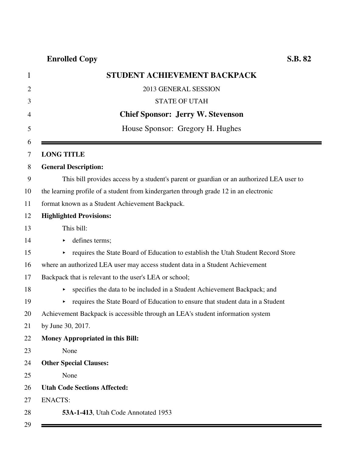# **Enrolled Copy S.B. 82**

| 1              | STUDENT ACHIEVEMENT BACKPACK                                                             |
|----------------|------------------------------------------------------------------------------------------|
| $\overline{2}$ | 2013 GENERAL SESSION                                                                     |
| 3              | <b>STATE OF UTAH</b>                                                                     |
| 4              | <b>Chief Sponsor: Jerry W. Stevenson</b>                                                 |
| 5              | House Sponsor: Gregory H. Hughes                                                         |
| 6<br>7         | <b>LONG TITLE</b>                                                                        |
| 8              | <b>General Description:</b>                                                              |
| 9              | This bill provides access by a student's parent or guardian or an authorized LEA user to |
| 10             | the learning profile of a student from kindergarten through grade 12 in an electronic    |
| 11             | format known as a Student Achievement Backpack.                                          |
| 12             | <b>Highlighted Provisions:</b>                                                           |
| 13             | This bill:                                                                               |
| 14             | defines terms;                                                                           |
| 15             | requires the State Board of Education to establish the Utah Student Record Store         |
| 16             | where an authorized LEA user may access student data in a Student Achievement            |
| 17             | Backpack that is relevant to the user's LEA or school;                                   |
| 18             | specifies the data to be included in a Student Achievement Backpack; and<br>▶            |
| 19             | requires the State Board of Education to ensure that student data in a Student<br>▶      |
| 20             | Achievement Backpack is accessible through an LEA's student information system           |
| 21             | by June 30, 2017.                                                                        |
| 22             | <b>Money Appropriated in this Bill:</b>                                                  |
| 23             | None                                                                                     |
| 24             | <b>Other Special Clauses:</b>                                                            |
| 25             | None                                                                                     |
| 26             | <b>Utah Code Sections Affected:</b>                                                      |
| 27             | <b>ENACTS:</b>                                                                           |
| 28             | 53A-1-413, Utah Code Annotated 1953                                                      |
| 29             |                                                                                          |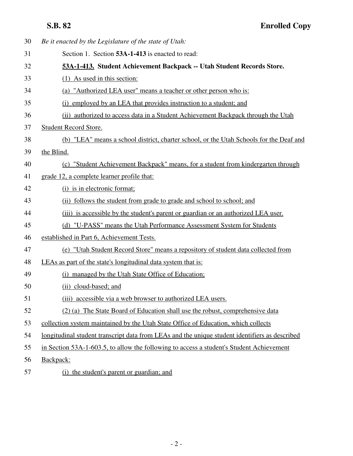**S.B. 82 Enrolled Copy**

| 30 | Be it enacted by the Legislature of the state of Utah:                                         |
|----|------------------------------------------------------------------------------------------------|
| 31 | Section 1. Section 53A-1-413 is enacted to read:                                               |
| 32 | 53A-1-413. Student Achievement Backpack -- Utah Student Records Store.                         |
| 33 | (1) As used in this section:                                                                   |
| 34 | (a) "Authorized LEA user" means a teacher or other person who is:                              |
| 35 | (i) employed by an LEA that provides instruction to a student; and                             |
| 36 | (ii) authorized to access data in a Student Achievement Backpack through the Utah              |
| 37 | <b>Student Record Store.</b>                                                                   |
| 38 | (b) "LEA" means a school district, charter school, or the Utah Schools for the Deaf and        |
| 39 | the Blind.                                                                                     |
| 40 | (c) "Student Achievement Backpack" means, for a student from kindergarten through              |
| 41 | grade 12, a complete learner profile that:                                                     |
| 42 | (i) is in electronic format;                                                                   |
| 43 | (ii) follows the student from grade to grade and school to school; and                         |
| 44 | (iii) is accessible by the student's parent or guardian or an authorized LEA user.             |
| 45 | (d) "U-PASS" means the Utah Performance Assessment System for Students                         |
| 46 | established in Part 6, Achievement Tests.                                                      |
| 47 | (e) "Utah Student Record Store" means a repository of student data collected from              |
| 48 | LEAs as part of the state's longitudinal data system that is:                                  |
| 49 | (i) managed by the Utah State Office of Education;                                             |
| 50 | (ii) cloud-based; and                                                                          |
| 51 | (iii) accessible via a web browser to authorized LEA users.                                    |
| 52 | (2) (a) The State Board of Education shall use the robust, comprehensive data                  |
| 53 | collection system maintained by the Utah State Office of Education, which collects             |
| 54 | longitudinal student transcript data from LEAs and the unique student identifiers as described |
| 55 | in Section 53A-1-603.5, to allow the following to access a student's Student Achievement       |
| 56 | Backpack:                                                                                      |
|    |                                                                                                |

57 (i) the student's parent or guardian; and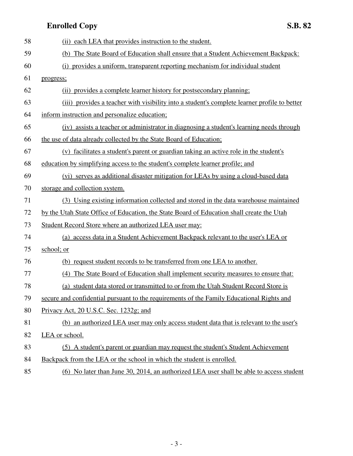## **Enrolled Copy S.B. 82**

| 58 | (ii) each LEA that provides instruction to the student.                                      |
|----|----------------------------------------------------------------------------------------------|
| 59 | (b) The State Board of Education shall ensure that a Student Achievement Backpack:           |
| 60 | (i) provides a uniform, transparent reporting mechanism for individual student               |
| 61 | progress;                                                                                    |
| 62 | (ii) provides a complete learner history for postsecondary planning;                         |
| 63 | (iii) provides a teacher with visibility into a student's complete learner profile to better |
| 64 | inform instruction and personalize education;                                                |
| 65 | (iv) assists a teacher or administrator in diagnosing a student's learning needs through     |
| 66 | the use of data already collected by the State Board of Education;                           |
| 67 | (v) facilitates a student's parent or guardian taking an active role in the student's        |
| 68 | education by simplifying access to the student's complete learner profile; and               |
| 69 | (vi) serves as additional disaster mitigation for LEAs by using a cloud-based data           |
| 70 | storage and collection system.                                                               |
| 71 | (3) Using existing information collected and stored in the data warehouse maintained         |
| 72 | by the Utah State Office of Education, the State Board of Education shall create the Utah    |
| 73 | Student Record Store where an authorized LEA user may:                                       |
| 74 | (a) access data in a Student Achievement Backpack relevant to the user's LEA or              |
| 75 | school; or                                                                                   |
| 76 | (b) request student records to be transferred from one LEA to another.                       |
| 77 | (4) The State Board of Education shall implement security measures to ensure that:           |
| 78 | (a) student data stored or transmitted to or from the Utah Student Record Store is           |
| 79 | secure and confidential pursuant to the requirements of the Family Educational Rights and    |
| 80 | Privacy Act, 20 U.S.C. Sec. 1232g; and                                                       |
| 81 | (b) an authorized LEA user may only access student data that is relevant to the user's       |
| 82 | LEA or school.                                                                               |
| 83 | (5) A student's parent or guardian may request the student's Student Achievement             |
| 84 | Backpack from the LEA or the school in which the student is enrolled.                        |
| 85 | (6) No later than June 30, 2014, an authorized LEA user shall be able to access student      |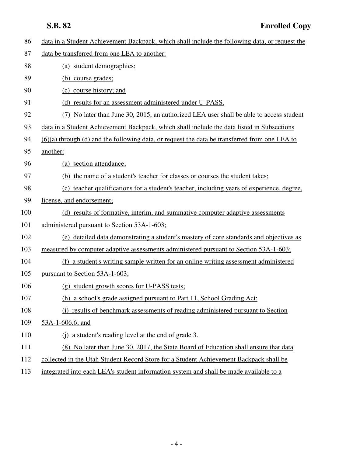| 86  | data in a Student Achievement Backpack, which shall include the following data, or request the  |
|-----|-------------------------------------------------------------------------------------------------|
| 87  | data be transferred from one LEA to another:                                                    |
| 88  | (a) student demographics;                                                                       |
| 89  | (b) course grades;                                                                              |
| 90  | (c) course history; and                                                                         |
| 91  | (d) results for an assessment administered under U-PASS.                                        |
| 92  | (7) No later than June 30, 2015, an authorized LEA user shall be able to access student         |
| 93  | data in a Student Achievement Backpack, which shall include the data listed in Subsections      |
| 94  | $(6)(a)$ through (d) and the following data, or request the data be transferred from one LEA to |
| 95  | another:                                                                                        |
| 96  | (a) section attendance;                                                                         |
| 97  | (b) the name of a student's teacher for classes or courses the student takes;                   |
| 98  | (c) teacher qualifications for a student's teacher, including years of experience, degree,      |
| 99  | license, and endorsement;                                                                       |
| 100 | (d) results of formative, interim, and summative computer adaptive assessments                  |
| 101 | administered pursuant to Section 53A-1-603;                                                     |
| 102 | (e) detailed data demonstrating a student's mastery of core standards and objectives as         |
| 103 | measured by computer adaptive assessments administered pursuant to Section 53A-1-603;           |
| 104 | (f) a student's writing sample written for an online writing assessment administered            |
| 105 | pursuant to Section 53A-1-603;                                                                  |
| 106 | (g) student growth scores for U-PASS tests;                                                     |
| 107 | (h) a school's grade assigned pursuant to Part 11, School Grading Act;                          |
| 108 | (i) results of benchmark assessments of reading administered pursuant to Section                |
| 109 | 53A-1-606.6; and                                                                                |
| 110 | (i) a student's reading level at the end of grade 3.                                            |
| 111 | (8) No later than June 30, 2017, the State Board of Education shall ensure that data            |
| 112 | collected in the Utah Student Record Store for a Student Achievement Backpack shall be          |
| 113 | integrated into each LEA's student information system and shall be made available to a          |